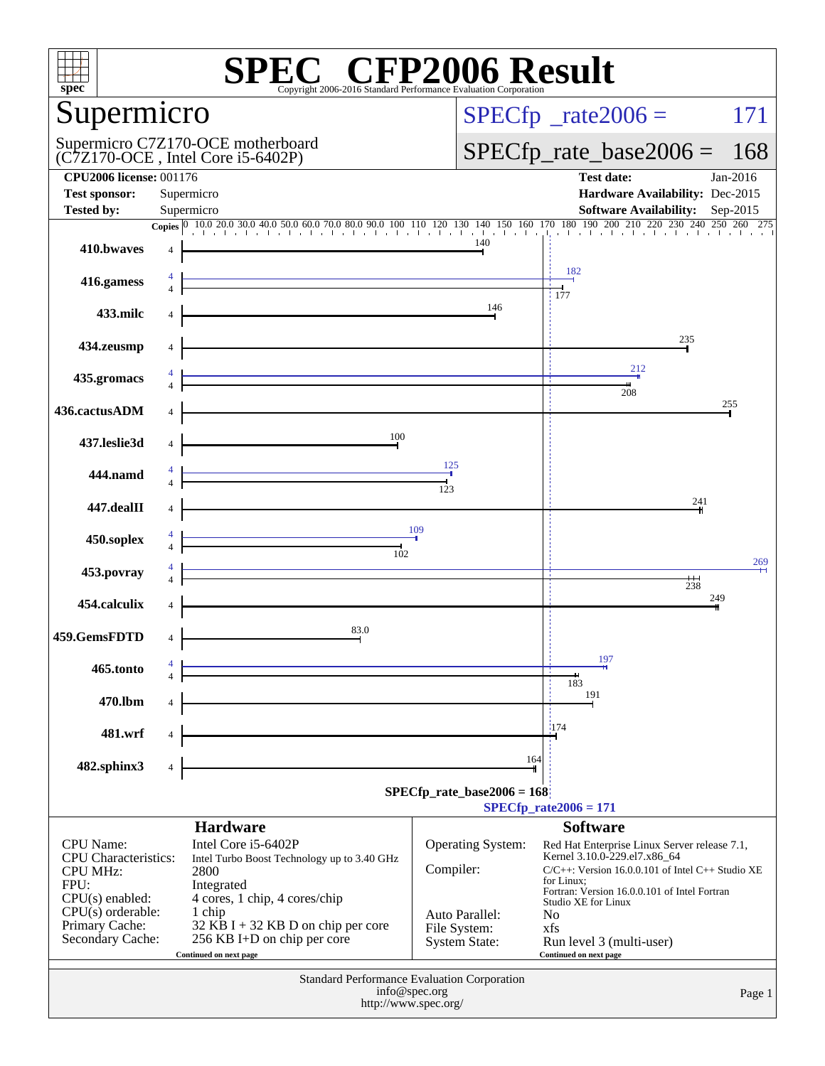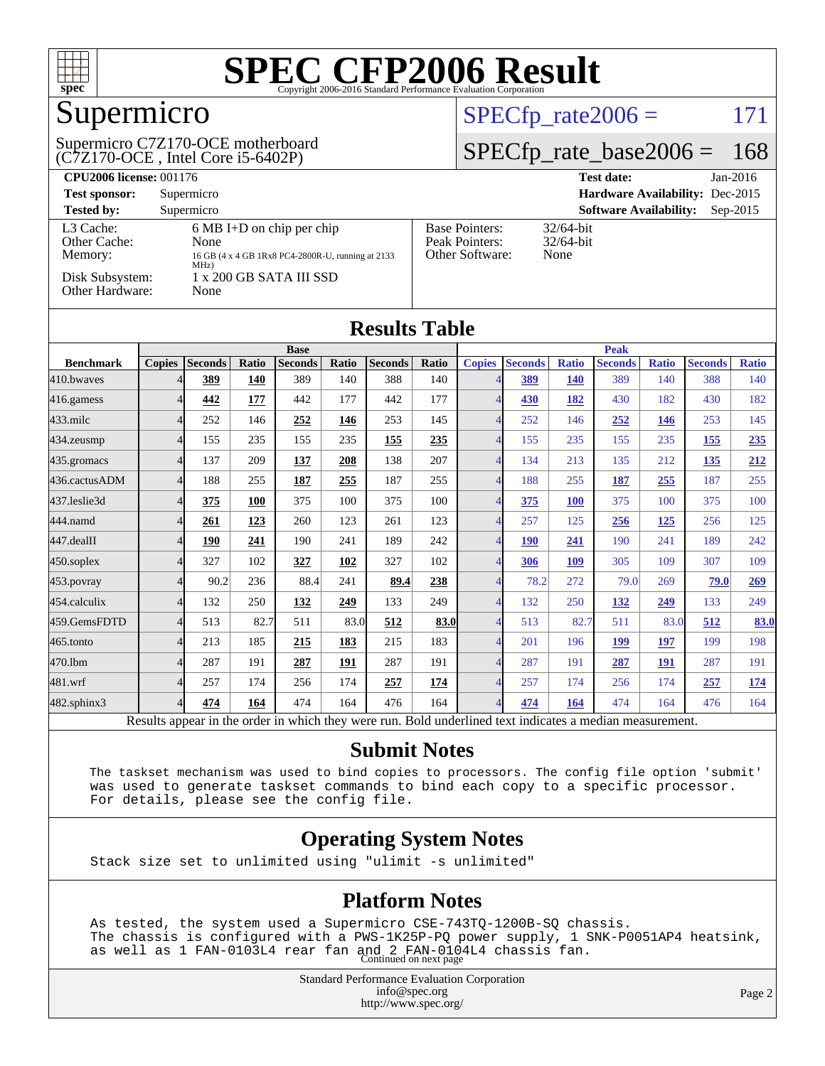

## Supermicro

(C7Z170-OCE , Intel Core i5-6402P) Supermicro C7Z170-OCE motherboard

#### $SPECfp_rate2006 = 171$  $SPECfp_rate2006 = 171$

#### [SPECfp\\_rate\\_base2006 =](http://www.spec.org/auto/cpu2006/Docs/result-fields.html#SPECfpratebase2006) 168

| <b>CPU2006 license: 001176</b>                                             |                                                                                                                                                |                                                            | <b>Test date:</b><br>$Jan-2016$             |
|----------------------------------------------------------------------------|------------------------------------------------------------------------------------------------------------------------------------------------|------------------------------------------------------------|---------------------------------------------|
| <b>Test sponsor:</b>                                                       | Supermicro                                                                                                                                     |                                                            | Hardware Availability: Dec-2015             |
| <b>Tested by:</b>                                                          | Supermicro                                                                                                                                     |                                                            | <b>Software Availability:</b><br>$Sep-2015$ |
| L3 Cache:<br>Other Cache:<br>Memory:<br>Disk Subsystem:<br>Other Hardware: | $6 \text{ MB I+D}$ on chip per chip<br>None<br>16 GB (4 x 4 GB 1Rx8 PC4-2800R-U, running at 2133<br>$MHz$ )<br>1 x 200 GB SATA III SSD<br>None | <b>Base Pointers:</b><br>Peak Pointers:<br>Other Software: | $32/64$ -bit<br>$32/64$ -bit<br>None        |

| <b>Results Table</b> |               |                |       |                |             |                |       |                |                |              |                |              |                |              |
|----------------------|---------------|----------------|-------|----------------|-------------|----------------|-------|----------------|----------------|--------------|----------------|--------------|----------------|--------------|
|                      | <b>Base</b>   |                |       |                | <b>Peak</b> |                |       |                |                |              |                |              |                |              |
| <b>Benchmark</b>     | <b>Copies</b> | <b>Seconds</b> | Ratio | <b>Seconds</b> | Ratio       | <b>Seconds</b> | Ratio | <b>Copies</b>  | <b>Seconds</b> | <b>Ratio</b> | <b>Seconds</b> | <b>Ratio</b> | <b>Seconds</b> | <b>Ratio</b> |
| 410.bwayes           |               | 389            | 140   | 389            | 140         | 388            | 140   |                | <u>389</u>     | <b>140</b>   | 389            | 140          | 388            | 140          |
| 416.gamess           | 4             | 442            | 177   | 442            | 177         | 442            | 177   |                | 430            | 182          | 430            | 182          | 430            | 182          |
| $433$ .milc          | 4             | 252            | 146   | 252            | 146         | 253            | 145   |                | 252            | 146          | 252            | 146          | 253            | 145          |
| 434.zeusmp           | 4             | 155            | 235   | 155            | 235         | 155            | 235   | Δ              | 155            | 235          | 155            | 235          | 155            | 235          |
| 435.gromacs          | 4             | 137            | 209   | 137            | 208         | 138            | 207   | 4              | 134            | 213          | 135            | 212          | 135            | 212          |
| 436.cactusADM        | 4             | 188            | 255   | 187            | 255         | 187            | 255   | 4              | 188            | 255          | 187            | 255          | 187            | 255          |
| 437.leslie3d         | 4             | 375            | 100   | 375            | 100         | 375            | 100   |                | 375            | <b>100</b>   | 375            | 100          | 375            | 100          |
| 444.namd             | 4             | 261            | 123   | 260            | 123         | 261            | 123   |                | 257            | 125          | 256            | <u>125</u>   | 256            | 125          |
| 447.dealII           | 4             | 190            | 241   | 190            | 241         | 189            | 242   | Δ              | <b>190</b>     | 241          | 190            | 241          | 189            | 242          |
| 450.soplex           | 4             | 327            | 102   | 327            | 102         | 327            | 102   | 4              | 306            | 109          | 305            | 109          | 307            | 109          |
| $453$ .povray        | 4             | 90.2           | 236   | 88.4           | 241         | 89.4           | 238   | $\overline{4}$ | 78.2           | 272          | 79.0           | 269          | 79.0           | 269          |
| 454.calculix         | 4             | 132            | 250   | <u>132</u>     | 249         | 133            | 249   |                | 132            | 250          | <b>132</b>     | 249          | 133            | 249          |
| 459.GemsFDTD         | 4             | 513            | 82.7  | 511            | 83.0        | 512            | 83.0  |                | 513            | 82.7         | 511            | 83.0         | 512            | 83.0         |
| 465.tonto            | 4             | 213            | 185   | 215            | 183         | 215            | 183   | Δ              | 201            | 196          | 199            | 197          | 199            | 198          |
| 470.1bm              | 4             | 287            | 191   | 287            | 191         | 287            | 191   | 4              | 287            | 191          | 287            | 191          | 287            | 191          |
| 481.wrf              | 4             | 257            | 174   | 256            | 174         | 257            | 174   | 4              | 257            | 174          | 256            | 174          | 257            | 174          |
| $482$ .sphinx $3$    | 4             | 474            | 164   | 474            | 164         | 476            | 164   | 4              | 474            | 164          | 474            | 164          | 476            | 164          |

Results appear in the [order in which they were run.](http://www.spec.org/auto/cpu2006/Docs/result-fields.html#RunOrder) Bold underlined text [indicates a median measurement.](http://www.spec.org/auto/cpu2006/Docs/result-fields.html#Median)

#### **[Submit Notes](http://www.spec.org/auto/cpu2006/Docs/result-fields.html#SubmitNotes)**

 The taskset mechanism was used to bind copies to processors. The config file option 'submit' was used to generate taskset commands to bind each copy to a specific processor. For details, please see the config file.

#### **[Operating System Notes](http://www.spec.org/auto/cpu2006/Docs/result-fields.html#OperatingSystemNotes)**

Stack size set to unlimited using "ulimit -s unlimited"

#### **[Platform Notes](http://www.spec.org/auto/cpu2006/Docs/result-fields.html#PlatformNotes)**

 As tested, the system used a Supermicro CSE-743TQ-1200B-SQ chassis. The chassis is configured with a PWS-1K25P-PQ power supply, 1 SNK-P0051AP4 heatsink, as well as 1 FAN-0103L4 rear fan and 2 FAN-0104L4 chassis fan. Continued on next page

> Standard Performance Evaluation Corporation [info@spec.org](mailto:info@spec.org) <http://www.spec.org/>

Page 2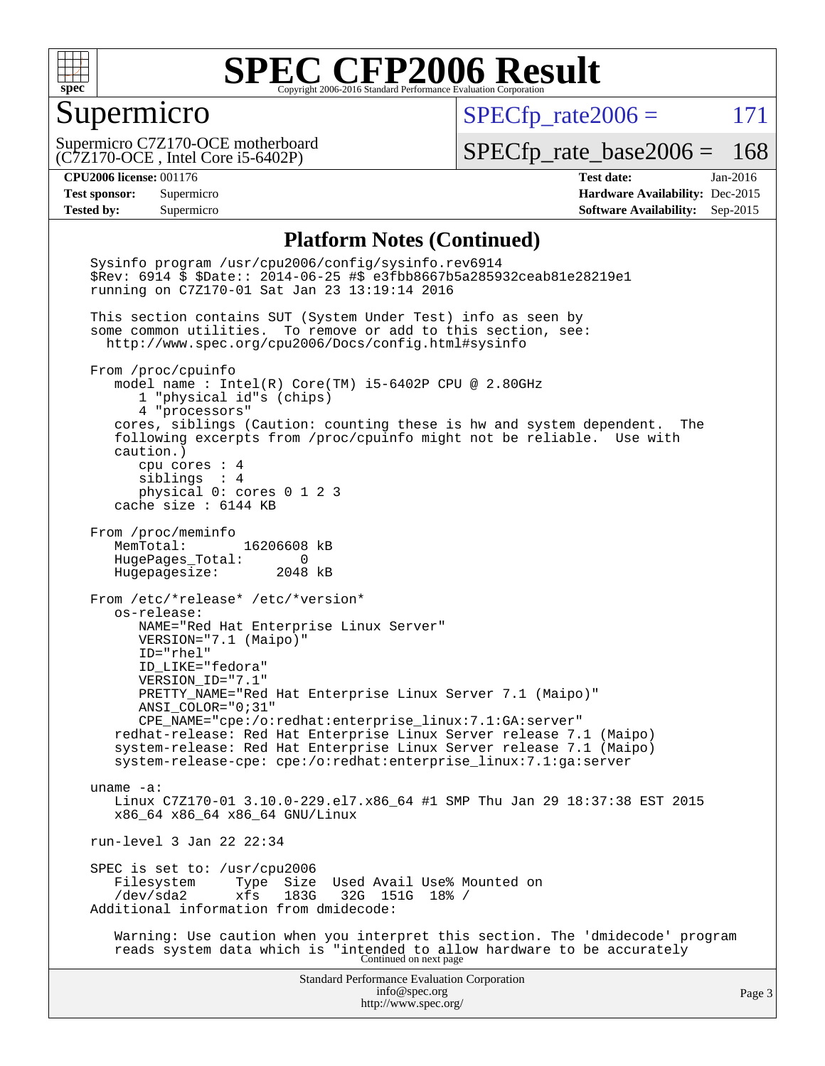

#### Supermicro

 $SPECfp_rate2006 = 171$  $SPECfp_rate2006 = 171$ 

(C7Z170-OCE , Intel Core i5-6402P) Supermicro C7Z170-OCE motherboard

[SPECfp\\_rate\\_base2006 =](http://www.spec.org/auto/cpu2006/Docs/result-fields.html#SPECfpratebase2006) 168

**[CPU2006 license:](http://www.spec.org/auto/cpu2006/Docs/result-fields.html#CPU2006license)** 001176 **[Test date:](http://www.spec.org/auto/cpu2006/Docs/result-fields.html#Testdate)** Jan-2016 **[Test sponsor:](http://www.spec.org/auto/cpu2006/Docs/result-fields.html#Testsponsor)** Supermicro **[Hardware Availability:](http://www.spec.org/auto/cpu2006/Docs/result-fields.html#HardwareAvailability)** Dec-2015 **[Tested by:](http://www.spec.org/auto/cpu2006/Docs/result-fields.html#Testedby)** Supermicro **Supermicro [Software Availability:](http://www.spec.org/auto/cpu2006/Docs/result-fields.html#SoftwareAvailability)** Sep-2015

#### **[Platform Notes \(Continued\)](http://www.spec.org/auto/cpu2006/Docs/result-fields.html#PlatformNotes)**

Standard Performance Evaluation Corporation [info@spec.org](mailto:info@spec.org) <http://www.spec.org/> Page 3 Sysinfo program /usr/cpu2006/config/sysinfo.rev6914 \$Rev: 6914 \$ \$Date:: 2014-06-25 #\$ e3fbb8667b5a285932ceab81e28219e1 running on C7Z170-01 Sat Jan 23 13:19:14 2016 This section contains SUT (System Under Test) info as seen by some common utilities. To remove or add to this section, see: <http://www.spec.org/cpu2006/Docs/config.html#sysinfo> From /proc/cpuinfo model name : Intel(R) Core(TM) i5-6402P CPU @ 2.80GHz 1 "physical id"s (chips) 4 "processors" cores, siblings (Caution: counting these is hw and system dependent. The following excerpts from /proc/cpuinfo might not be reliable. Use with caution.) cpu cores : 4 siblings : 4 physical 0: cores 0 1 2 3 cache size : 6144 KB From /proc/meminfo MemTotal: 16206608 kB HugePages\_Total: 0 Hugepagesize: 2048 kB From /etc/\*release\* /etc/\*version\* os-release: NAME="Red Hat Enterprise Linux Server" VERSION="7.1 (Maipo)" ID="rhel" ID\_LIKE="fedora" VERSION\_ID="7.1" PRETTY\_NAME="Red Hat Enterprise Linux Server 7.1 (Maipo)" ANSI\_COLOR="0;31" CPE\_NAME="cpe:/o:redhat:enterprise\_linux:7.1:GA:server" redhat-release: Red Hat Enterprise Linux Server release 7.1 (Maipo) system-release: Red Hat Enterprise Linux Server release 7.1 (Maipo) system-release-cpe: cpe:/o:redhat:enterprise\_linux:7.1:ga:server uname -a: Linux C7Z170-01 3.10.0-229.el7.x86\_64 #1 SMP Thu Jan 29 18:37:38 EST 2015 x86\_64 x86\_64 x86\_64 GNU/Linux run-level 3 Jan 22 22:34 SPEC is set to: /usr/cpu2006<br>Filesystem Type Size Type Size Used Avail Use% Mounted on<br>xfs 183G 32G 151G 18% / /dev/sda2 xfs 183G 32G 151G 18% / Additional information from dmidecode: Warning: Use caution when you interpret this section. The 'dmidecode' program reads system data which is "intended to allow hardware to be accurately Continued on next page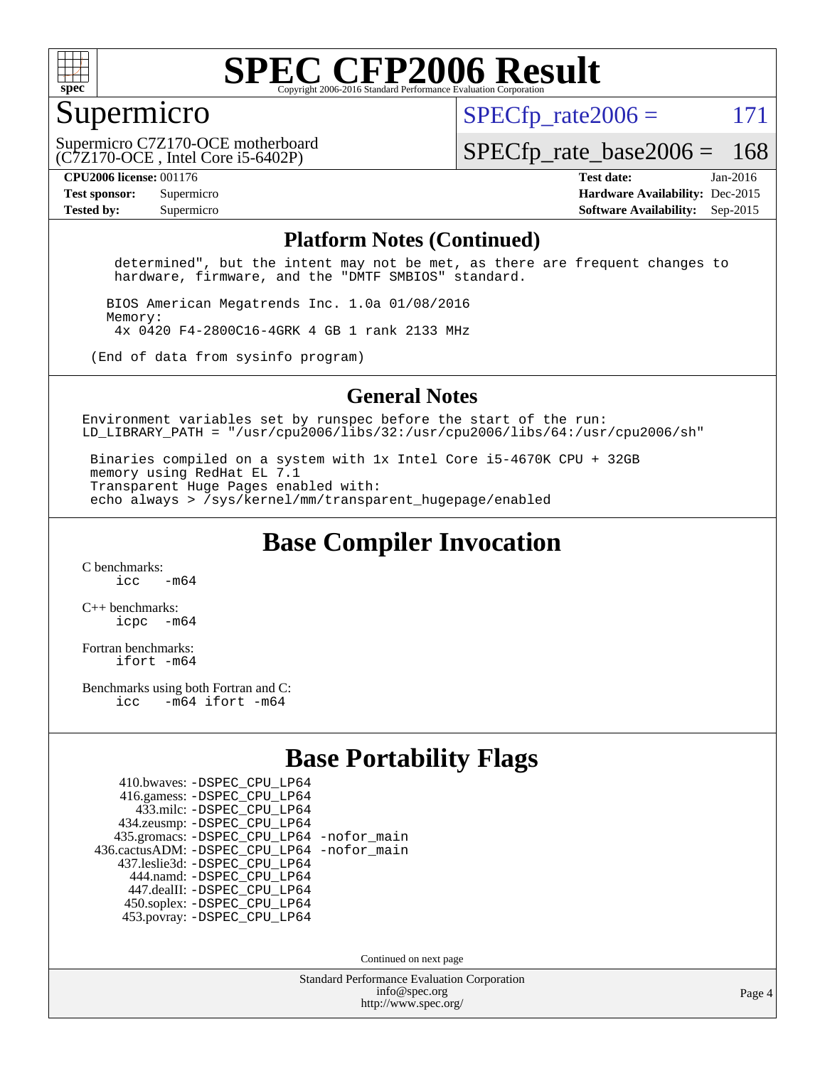

#### Supermicro

 $SPECTp\_rate2006 = 171$ 

(C7Z170-OCE , Intel Core i5-6402P) Supermicro C7Z170-OCE motherboard [SPECfp\\_rate\\_base2006 =](http://www.spec.org/auto/cpu2006/Docs/result-fields.html#SPECfpratebase2006) 168

**[Tested by:](http://www.spec.org/auto/cpu2006/Docs/result-fields.html#Testedby)** Supermicro **Supermicro [Software Availability:](http://www.spec.org/auto/cpu2006/Docs/result-fields.html#SoftwareAvailability)** Sep-2015

**[CPU2006 license:](http://www.spec.org/auto/cpu2006/Docs/result-fields.html#CPU2006license)** 001176 **[Test date:](http://www.spec.org/auto/cpu2006/Docs/result-fields.html#Testdate)** Jan-2016 **[Test sponsor:](http://www.spec.org/auto/cpu2006/Docs/result-fields.html#Testsponsor)** Supermicro **[Hardware Availability:](http://www.spec.org/auto/cpu2006/Docs/result-fields.html#HardwareAvailability)** Dec-2015

#### **[Platform Notes \(Continued\)](http://www.spec.org/auto/cpu2006/Docs/result-fields.html#PlatformNotes)**

 determined", but the intent may not be met, as there are frequent changes to hardware, firmware, and the "DMTF SMBIOS" standard.

 BIOS American Megatrends Inc. 1.0a 01/08/2016 Memory: 4x 0420 F4-2800C16-4GRK 4 GB 1 rank 2133 MHz

(End of data from sysinfo program)

#### **[General Notes](http://www.spec.org/auto/cpu2006/Docs/result-fields.html#GeneralNotes)**

Environment variables set by runspec before the start of the run: LD LIBRARY PATH = "/usr/cpu2006/libs/32:/usr/cpu2006/libs/64:/usr/cpu2006/sh"

 Binaries compiled on a system with 1x Intel Core i5-4670K CPU + 32GB memory using RedHat EL 7.1 Transparent Huge Pages enabled with: echo always > /sys/kernel/mm/transparent\_hugepage/enabled

**[Base Compiler Invocation](http://www.spec.org/auto/cpu2006/Docs/result-fields.html#BaseCompilerInvocation)**

[C benchmarks](http://www.spec.org/auto/cpu2006/Docs/result-fields.html#Cbenchmarks):  $\frac{1}{2}$  cc  $-$  m64

[C++ benchmarks:](http://www.spec.org/auto/cpu2006/Docs/result-fields.html#CXXbenchmarks) [icpc -m64](http://www.spec.org/cpu2006/results/res2016q1/cpu2006-20160125-38762.flags.html#user_CXXbase_intel_icpc_64bit_bedb90c1146cab66620883ef4f41a67e)

[Fortran benchmarks](http://www.spec.org/auto/cpu2006/Docs/result-fields.html#Fortranbenchmarks): [ifort -m64](http://www.spec.org/cpu2006/results/res2016q1/cpu2006-20160125-38762.flags.html#user_FCbase_intel_ifort_64bit_ee9d0fb25645d0210d97eb0527dcc06e)

[Benchmarks using both Fortran and C](http://www.spec.org/auto/cpu2006/Docs/result-fields.html#BenchmarksusingbothFortranandC): [icc -m64](http://www.spec.org/cpu2006/results/res2016q1/cpu2006-20160125-38762.flags.html#user_CC_FCbase_intel_icc_64bit_0b7121f5ab7cfabee23d88897260401c) [ifort -m64](http://www.spec.org/cpu2006/results/res2016q1/cpu2006-20160125-38762.flags.html#user_CC_FCbase_intel_ifort_64bit_ee9d0fb25645d0210d97eb0527dcc06e)

#### **[Base Portability Flags](http://www.spec.org/auto/cpu2006/Docs/result-fields.html#BasePortabilityFlags)**

| 410.bwaves: - DSPEC CPU LP64                 |  |
|----------------------------------------------|--|
| 416.gamess: -DSPEC_CPU_LP64                  |  |
| 433.milc: -DSPEC CPU LP64                    |  |
| 434.zeusmp: -DSPEC_CPU_LP64                  |  |
| 435.gromacs: -DSPEC_CPU_LP64 -nofor_main     |  |
| 436.cactusADM: - DSPEC CPU LP64 - nofor main |  |
| 437.leslie3d: -DSPEC_CPU_LP64                |  |
| 444.namd: - DSPEC CPU LP64                   |  |
| 447.dealII: -DSPEC CPU LP64                  |  |
| 450.soplex: -DSPEC_CPU_LP64                  |  |
| 453.povray: -DSPEC CPU LP64                  |  |

Continued on next page

Standard Performance Evaluation Corporation [info@spec.org](mailto:info@spec.org) <http://www.spec.org/>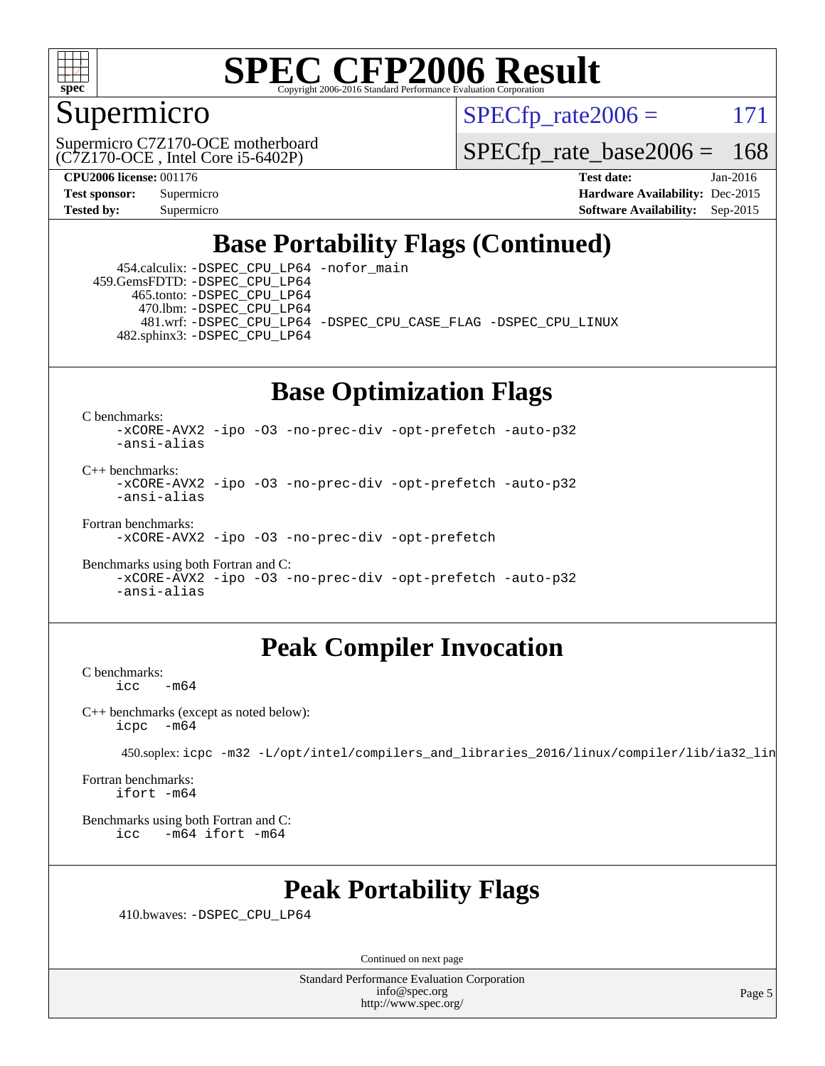

#### Supermicro

 $SPECTp\_rate2006 = 171$ 

(C7Z170-OCE , Intel Core i5-6402P) Supermicro C7Z170-OCE motherboard

[SPECfp\\_rate\\_base2006 =](http://www.spec.org/auto/cpu2006/Docs/result-fields.html#SPECfpratebase2006) 168

**[CPU2006 license:](http://www.spec.org/auto/cpu2006/Docs/result-fields.html#CPU2006license)** 001176 **[Test date:](http://www.spec.org/auto/cpu2006/Docs/result-fields.html#Testdate)** Jan-2016 **[Test sponsor:](http://www.spec.org/auto/cpu2006/Docs/result-fields.html#Testsponsor)** Supermicro **[Hardware Availability:](http://www.spec.org/auto/cpu2006/Docs/result-fields.html#HardwareAvailability)** Dec-2015 **[Tested by:](http://www.spec.org/auto/cpu2006/Docs/result-fields.html#Testedby)** Supermicro **Supermicro [Software Availability:](http://www.spec.org/auto/cpu2006/Docs/result-fields.html#SoftwareAvailability)** Sep-2015

## **[Base Portability Flags \(Continued\)](http://www.spec.org/auto/cpu2006/Docs/result-fields.html#BasePortabilityFlags)**

 454.calculix: [-DSPEC\\_CPU\\_LP64](http://www.spec.org/cpu2006/results/res2016q1/cpu2006-20160125-38762.flags.html#suite_basePORTABILITY454_calculix_DSPEC_CPU_LP64) [-nofor\\_main](http://www.spec.org/cpu2006/results/res2016q1/cpu2006-20160125-38762.flags.html#user_baseLDPORTABILITY454_calculix_f-nofor_main) 459.GemsFDTD: [-DSPEC\\_CPU\\_LP64](http://www.spec.org/cpu2006/results/res2016q1/cpu2006-20160125-38762.flags.html#suite_basePORTABILITY459_GemsFDTD_DSPEC_CPU_LP64) 465.tonto: [-DSPEC\\_CPU\\_LP64](http://www.spec.org/cpu2006/results/res2016q1/cpu2006-20160125-38762.flags.html#suite_basePORTABILITY465_tonto_DSPEC_CPU_LP64) 470.lbm: [-DSPEC\\_CPU\\_LP64](http://www.spec.org/cpu2006/results/res2016q1/cpu2006-20160125-38762.flags.html#suite_basePORTABILITY470_lbm_DSPEC_CPU_LP64) 481.wrf: [-DSPEC\\_CPU\\_LP64](http://www.spec.org/cpu2006/results/res2016q1/cpu2006-20160125-38762.flags.html#suite_basePORTABILITY481_wrf_DSPEC_CPU_LP64) [-DSPEC\\_CPU\\_CASE\\_FLAG](http://www.spec.org/cpu2006/results/res2016q1/cpu2006-20160125-38762.flags.html#b481.wrf_baseCPORTABILITY_DSPEC_CPU_CASE_FLAG) [-DSPEC\\_CPU\\_LINUX](http://www.spec.org/cpu2006/results/res2016q1/cpu2006-20160125-38762.flags.html#b481.wrf_baseCPORTABILITY_DSPEC_CPU_LINUX) 482.sphinx3: [-DSPEC\\_CPU\\_LP64](http://www.spec.org/cpu2006/results/res2016q1/cpu2006-20160125-38762.flags.html#suite_basePORTABILITY482_sphinx3_DSPEC_CPU_LP64)

## **[Base Optimization Flags](http://www.spec.org/auto/cpu2006/Docs/result-fields.html#BaseOptimizationFlags)**

[C benchmarks](http://www.spec.org/auto/cpu2006/Docs/result-fields.html#Cbenchmarks):

[-xCORE-AVX2](http://www.spec.org/cpu2006/results/res2016q1/cpu2006-20160125-38762.flags.html#user_CCbase_f-xAVX2_5f5fc0cbe2c9f62c816d3e45806c70d7) [-ipo](http://www.spec.org/cpu2006/results/res2016q1/cpu2006-20160125-38762.flags.html#user_CCbase_f-ipo) [-O3](http://www.spec.org/cpu2006/results/res2016q1/cpu2006-20160125-38762.flags.html#user_CCbase_f-O3) [-no-prec-div](http://www.spec.org/cpu2006/results/res2016q1/cpu2006-20160125-38762.flags.html#user_CCbase_f-no-prec-div) [-opt-prefetch](http://www.spec.org/cpu2006/results/res2016q1/cpu2006-20160125-38762.flags.html#user_CCbase_f-opt-prefetch) [-auto-p32](http://www.spec.org/cpu2006/results/res2016q1/cpu2006-20160125-38762.flags.html#user_CCbase_f-auto-p32) [-ansi-alias](http://www.spec.org/cpu2006/results/res2016q1/cpu2006-20160125-38762.flags.html#user_CCbase_f-ansi-alias)

 $C_{++}$  benchmarks: [-xCORE-AVX2](http://www.spec.org/cpu2006/results/res2016q1/cpu2006-20160125-38762.flags.html#user_CXXbase_f-xAVX2_5f5fc0cbe2c9f62c816d3e45806c70d7) [-ipo](http://www.spec.org/cpu2006/results/res2016q1/cpu2006-20160125-38762.flags.html#user_CXXbase_f-ipo) [-O3](http://www.spec.org/cpu2006/results/res2016q1/cpu2006-20160125-38762.flags.html#user_CXXbase_f-O3) [-no-prec-div](http://www.spec.org/cpu2006/results/res2016q1/cpu2006-20160125-38762.flags.html#user_CXXbase_f-no-prec-div) [-opt-prefetch](http://www.spec.org/cpu2006/results/res2016q1/cpu2006-20160125-38762.flags.html#user_CXXbase_f-opt-prefetch) [-auto-p32](http://www.spec.org/cpu2006/results/res2016q1/cpu2006-20160125-38762.flags.html#user_CXXbase_f-auto-p32) [-ansi-alias](http://www.spec.org/cpu2006/results/res2016q1/cpu2006-20160125-38762.flags.html#user_CXXbase_f-ansi-alias)

[Fortran benchmarks](http://www.spec.org/auto/cpu2006/Docs/result-fields.html#Fortranbenchmarks):

[-xCORE-AVX2](http://www.spec.org/cpu2006/results/res2016q1/cpu2006-20160125-38762.flags.html#user_FCbase_f-xAVX2_5f5fc0cbe2c9f62c816d3e45806c70d7) [-ipo](http://www.spec.org/cpu2006/results/res2016q1/cpu2006-20160125-38762.flags.html#user_FCbase_f-ipo) [-O3](http://www.spec.org/cpu2006/results/res2016q1/cpu2006-20160125-38762.flags.html#user_FCbase_f-O3) [-no-prec-div](http://www.spec.org/cpu2006/results/res2016q1/cpu2006-20160125-38762.flags.html#user_FCbase_f-no-prec-div) [-opt-prefetch](http://www.spec.org/cpu2006/results/res2016q1/cpu2006-20160125-38762.flags.html#user_FCbase_f-opt-prefetch)

[Benchmarks using both Fortran and C](http://www.spec.org/auto/cpu2006/Docs/result-fields.html#BenchmarksusingbothFortranandC): [-xCORE-AVX2](http://www.spec.org/cpu2006/results/res2016q1/cpu2006-20160125-38762.flags.html#user_CC_FCbase_f-xAVX2_5f5fc0cbe2c9f62c816d3e45806c70d7) [-ipo](http://www.spec.org/cpu2006/results/res2016q1/cpu2006-20160125-38762.flags.html#user_CC_FCbase_f-ipo) [-O3](http://www.spec.org/cpu2006/results/res2016q1/cpu2006-20160125-38762.flags.html#user_CC_FCbase_f-O3) [-no-prec-div](http://www.spec.org/cpu2006/results/res2016q1/cpu2006-20160125-38762.flags.html#user_CC_FCbase_f-no-prec-div) [-opt-prefetch](http://www.spec.org/cpu2006/results/res2016q1/cpu2006-20160125-38762.flags.html#user_CC_FCbase_f-opt-prefetch) [-auto-p32](http://www.spec.org/cpu2006/results/res2016q1/cpu2006-20160125-38762.flags.html#user_CC_FCbase_f-auto-p32) [-ansi-alias](http://www.spec.org/cpu2006/results/res2016q1/cpu2006-20160125-38762.flags.html#user_CC_FCbase_f-ansi-alias)

### **[Peak Compiler Invocation](http://www.spec.org/auto/cpu2006/Docs/result-fields.html#PeakCompilerInvocation)**

[C benchmarks](http://www.spec.org/auto/cpu2006/Docs/result-fields.html#Cbenchmarks):  $-m64$ 

[C++ benchmarks \(except as noted below\):](http://www.spec.org/auto/cpu2006/Docs/result-fields.html#CXXbenchmarksexceptasnotedbelow) [icpc -m64](http://www.spec.org/cpu2006/results/res2016q1/cpu2006-20160125-38762.flags.html#user_CXXpeak_intel_icpc_64bit_bedb90c1146cab66620883ef4f41a67e)

450.soplex: [icpc -m32 -L/opt/intel/compilers\\_and\\_libraries\\_2016/linux/compiler/lib/ia32\\_lin](http://www.spec.org/cpu2006/results/res2016q1/cpu2006-20160125-38762.flags.html#user_peakCXXLD450_soplex_intel_icpc_b4f50a394bdb4597aa5879c16bc3f5c5)

[Fortran benchmarks](http://www.spec.org/auto/cpu2006/Docs/result-fields.html#Fortranbenchmarks): [ifort -m64](http://www.spec.org/cpu2006/results/res2016q1/cpu2006-20160125-38762.flags.html#user_FCpeak_intel_ifort_64bit_ee9d0fb25645d0210d97eb0527dcc06e)

[Benchmarks using both Fortran and C](http://www.spec.org/auto/cpu2006/Docs/result-fields.html#BenchmarksusingbothFortranandC): [icc -m64](http://www.spec.org/cpu2006/results/res2016q1/cpu2006-20160125-38762.flags.html#user_CC_FCpeak_intel_icc_64bit_0b7121f5ab7cfabee23d88897260401c) [ifort -m64](http://www.spec.org/cpu2006/results/res2016q1/cpu2006-20160125-38762.flags.html#user_CC_FCpeak_intel_ifort_64bit_ee9d0fb25645d0210d97eb0527dcc06e)

### **[Peak Portability Flags](http://www.spec.org/auto/cpu2006/Docs/result-fields.html#PeakPortabilityFlags)**

410.bwaves: [-DSPEC\\_CPU\\_LP64](http://www.spec.org/cpu2006/results/res2016q1/cpu2006-20160125-38762.flags.html#suite_peakPORTABILITY410_bwaves_DSPEC_CPU_LP64)

Continued on next page

Standard Performance Evaluation Corporation [info@spec.org](mailto:info@spec.org) <http://www.spec.org/>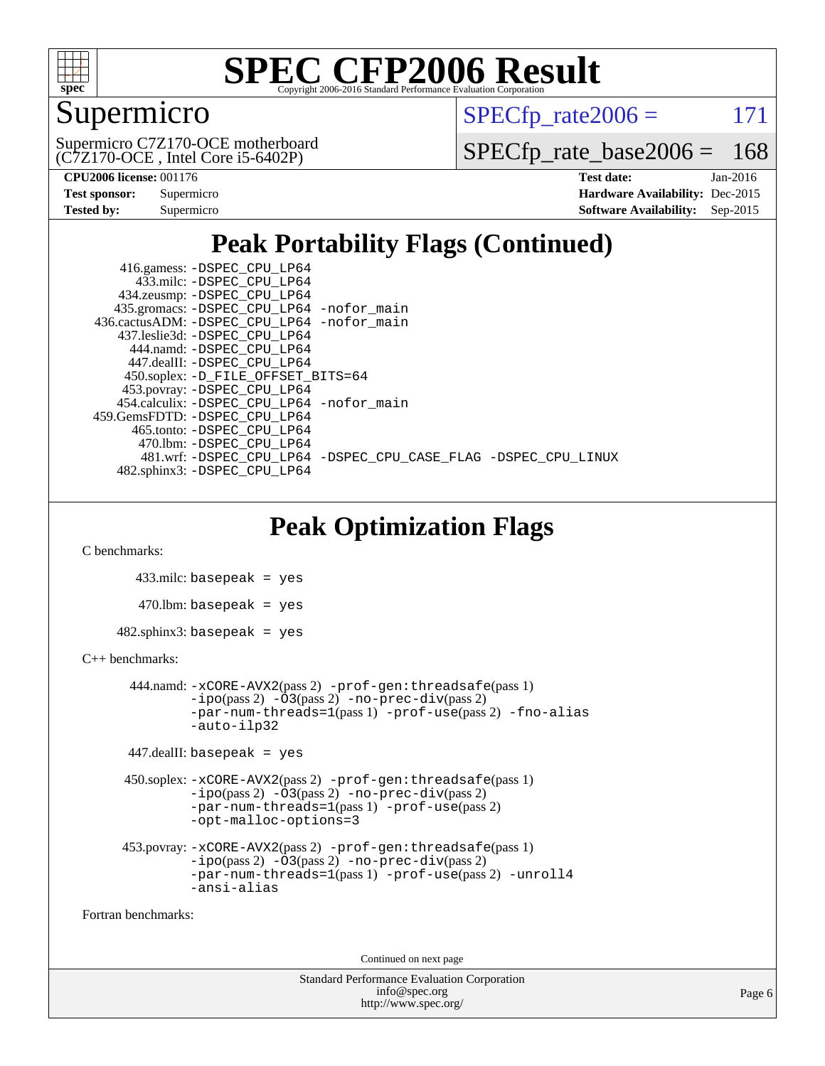

## Supermicro

 $SPECTp\_rate2006 = 171$ 

(C7Z170-OCE , Intel Core i5-6402P) Supermicro C7Z170-OCE motherboard

[SPECfp\\_rate\\_base2006 =](http://www.spec.org/auto/cpu2006/Docs/result-fields.html#SPECfpratebase2006) 168

| <b>Test sponsor:</b> | Supermicro |
|----------------------|------------|
| Tested by:           | Supermicro |

**[CPU2006 license:](http://www.spec.org/auto/cpu2006/Docs/result-fields.html#CPU2006license)** 001176 **[Test date:](http://www.spec.org/auto/cpu2006/Docs/result-fields.html#Testdate)** Jan-2016 **[Hardware Availability:](http://www.spec.org/auto/cpu2006/Docs/result-fields.html#HardwareAvailability)** Dec-2015 **[Software Availability:](http://www.spec.org/auto/cpu2006/Docs/result-fields.html#SoftwareAvailability)** Sep-2015

## **[Peak Portability Flags \(Continued\)](http://www.spec.org/auto/cpu2006/Docs/result-fields.html#PeakPortabilityFlags)**

| 416.gamess: -DSPEC_CPU_LP64                                    |
|----------------------------------------------------------------|
| 433.milc: -DSPEC CPU LP64                                      |
| 434.zeusmp: -DSPEC_CPU_LP64                                    |
| 435.gromacs: -DSPEC_CPU_LP64 -nofor_main                       |
| 436.cactusADM: -DSPEC CPU LP64 -nofor main                     |
| 437.leslie3d: -DSPEC CPU LP64                                  |
| 444.namd: -DSPEC CPU LP64                                      |
| 447.dealII: -DSPEC_CPU LP64                                    |
| 450.soplex: -D_FILE_OFFSET_BITS=64                             |
| 453.povray: -DSPEC_CPU_LP64                                    |
| 454.calculix: -DSPEC CPU LP64 -nofor main                      |
| 459.GemsFDTD: -DSPEC CPU LP64                                  |
| 465.tonto: -DSPEC CPU LP64                                     |
| 470.1bm: - DSPEC CPU LP64                                      |
| 481.wrf: -DSPEC_CPU_LP64 -DSPEC_CPU_CASE_FLAG -DSPEC_CPU_LINUX |
| 482.sphinx3: -DSPEC_CPU_LP64                                   |

## **[Peak Optimization Flags](http://www.spec.org/auto/cpu2006/Docs/result-fields.html#PeakOptimizationFlags)**

[C benchmarks](http://www.spec.org/auto/cpu2006/Docs/result-fields.html#Cbenchmarks):

```
 433.milc: basepeak = yes
   470.lbm: basepeak = yes
482.sphinx3: basepeak = yes
```
#### [C++ benchmarks:](http://www.spec.org/auto/cpu2006/Docs/result-fields.html#CXXbenchmarks)

```
 444.namd: -xCORE-AVX2(pass 2) -prof-gen:threadsafe(pass 1)
       -no-prec-div(pass 2)-par-num-threads=1(pass 1) -prof-use(pass 2) -fno-alias
       -auto-ilp32
```

```
 447.dealII: basepeak = yes
```

```
 450.soplex: -xCORE-AVX2(pass 2) -prof-gen:threadsafe(pass 1)
          -i\text{po}(pass 2) -\overset{\sim}{O}3(pass 2)-no-prec-div(pass 2)
          -par-num-threads=1(pass 1) -prof-use(pass 2)
          -opt-malloc-options=3
```

```
 453.povray: -xCORE-AVX2(pass 2) -prof-gen:threadsafe(pass 1)
          -ipo(pass 2) -O3(pass 2) -no-prec-div(pass 2)
          -par-num-threads=1(pass 1) -prof-use(pass 2) -unroll4
          -ansi-alias
```
[Fortran benchmarks](http://www.spec.org/auto/cpu2006/Docs/result-fields.html#Fortranbenchmarks):

Continued on next page

```
Standard Performance Evaluation Corporation
             info@spec.org
           http://www.spec.org/
```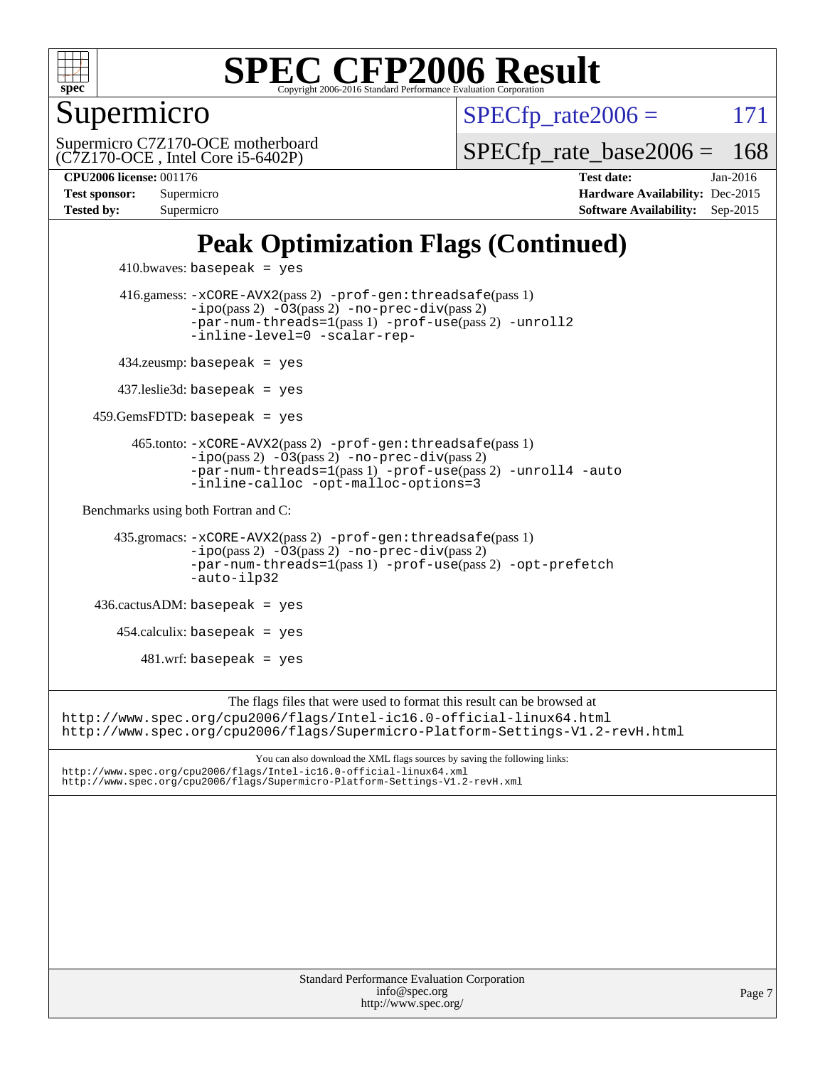

Supermicro

 $SPECTp\_rate2006 = 171$ 

(C7Z170-OCE , Intel Core i5-6402P) Supermicro C7Z170-OCE motherboard [SPECfp\\_rate\\_base2006 =](http://www.spec.org/auto/cpu2006/Docs/result-fields.html#SPECfpratebase2006) 168

**[CPU2006 license:](http://www.spec.org/auto/cpu2006/Docs/result-fields.html#CPU2006license)** 001176 **[Test date:](http://www.spec.org/auto/cpu2006/Docs/result-fields.html#Testdate)** Jan-2016 **[Test sponsor:](http://www.spec.org/auto/cpu2006/Docs/result-fields.html#Testsponsor)** Supermicro **[Hardware Availability:](http://www.spec.org/auto/cpu2006/Docs/result-fields.html#HardwareAvailability)** Dec-2015 **[Tested by:](http://www.spec.org/auto/cpu2006/Docs/result-fields.html#Testedby)** Supermicro **[Software Availability:](http://www.spec.org/auto/cpu2006/Docs/result-fields.html#SoftwareAvailability)** Sep-2015

## **[Peak Optimization Flags \(Continued\)](http://www.spec.org/auto/cpu2006/Docs/result-fields.html#PeakOptimizationFlags)**

```
410.bwaves: basepeak = yes 416.gamess: -xCORE-AVX2(pass 2) -prof-gen:threadsafe(pass 1)
                  -i\text{po}(pass 2) -03(pass 2)-no-prec-div(pass 2)
                  -par-num-threads=1(pass 1) -prof-use(pass 2) -unroll2
                  -inline-level=0 -scalar-rep-
         434.zeusmp: basepeak = yes
        437.leslie3d: basepeak = yes
     459.GemsFDTD: basepeak = yes
           465.tonto: -xCORE-AVX2(pass 2) -prof-gen:threadsafe(pass 1)
                  -no-prec-div(pass 2)-par-num-threads=1(pass 1) -prof-use(pass 2) -unroll4 -auto
                  -inline-calloc -opt-malloc-options=3
   Benchmarks using both Fortran and C: 
        435.gromacs: -xCORE-AVX2(pass 2) -prof-gen:threadsafe(pass 1)
                  -i\text{po}(pass 2) -03(pass 2)-no-prec-div(pass 2)
                  -par-num-threads=1(pass 1) -prof-use(pass 2) -opt-prefetch
                  -auto-ilp32
     436.cactusADM: basepeak = yes
       454.calculix: basepeak = yes
           481.wrf: basepeak = yes
                       The flags files that were used to format this result can be browsed at
http://www.spec.org/cpu2006/flags/Intel-ic16.0-official-linux64.html
http://www.spec.org/cpu2006/flags/Supermicro-Platform-Settings-V1.2-revH.html
```
You can also download the XML flags sources by saving the following links: <http://www.spec.org/cpu2006/flags/Intel-ic16.0-official-linux64.xml> <http://www.spec.org/cpu2006/flags/Supermicro-Platform-Settings-V1.2-revH.xml>